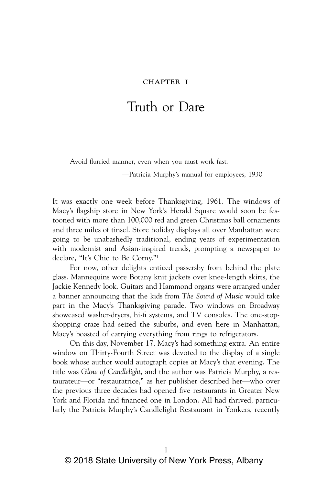#### CHAPTER I

# Truth or Dare

Avoid flurried manner, even when you must work fast.

—Patricia Murphy's manual for employees, 1930

It was exactly one week before Thanksgiving, 1961. The windows of Macy's flagship store in New York's Herald Square would soon be festooned with more than 100,000 red and green Christmas ball ornaments and three miles of tinsel. Store holiday displays all over Manhattan were going to be unabashedly traditional, ending years of experimentation with modernist and Asian-inspired trends, prompting a newspaper to declare, "It's Chic to Be Corny."1

For now, other delights enticed passersby from behind the plate glass. Mannequins wore Botany knit jackets over knee-length skirts, the Jackie Kennedy look. Guitars and Hammond organs were arranged under a banner announcing that the kids from *The Sound of Music* would take part in the Macy's Thanksgiving parade. Two windows on Broadway showcased washer-dryers, hi-fi systems, and TV consoles. The one-stopshopping craze had seized the suburbs, and even here in Manhattan, Macy's boasted of carrying everything from rings to refrigerators.

On this day, November 17, Macy's had something extra. An entire window on Thirty-Fourth Street was devoted to the display of a single book whose author would autograph copies at Macy's that evening. The title was *Glow of Candlelight*, and the author was Patricia Murphy, a restaurateur—or "restauratrice," as her publisher described her—who over the previous three decades had opened five restaurants in Greater New York and Florida and financed one in London. All had thrived, particularly the Patricia Murphy's Candlelight Restaurant in Yonkers, recently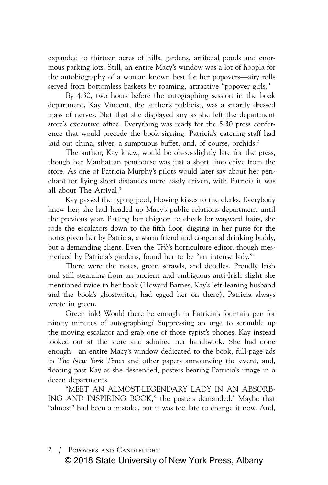expanded to thirteen acres of hills, gardens, artificial ponds and enormous parking lots. Still, an entire Macy's window was a lot of hoopla for the autobiography of a woman known best for her popovers—airy rolls served from bottomless baskets by roaming, attractive "popover girls."

By 4:30, two hours before the autographing session in the book department, Kay Vincent, the author's publicist, was a smartly dressed mass of nerves. Not that she displayed any as she left the department store's executive office. Everything was ready for the 5:30 press conference that would precede the book signing. Patricia's catering staff had laid out china, silver, a sumptuous buffet, and, of course, orchids.<sup>2</sup>

The author, Kay knew, would be oh-so-slightly late for the press, though her Manhattan penthouse was just a short limo drive from the store. As one of Patricia Murphy's pilots would later say about her penchant for flying short distances more easily driven, with Patricia it was all about The Arrival.3

Kay passed the typing pool, blowing kisses to the clerks. Everybody knew her; she had headed up Macy's public relations department until the previous year. Patting her chignon to check for wayward hairs, she rode the escalators down to the fifth floor, digging in her purse for the notes given her by Patricia, a warm friend and congenial drinking buddy, but a demanding client. Even the *Trib*'s horticulture editor, though mesmerized by Patricia's gardens, found her to be "an intense lady."4

There were the notes, green scrawls, and doodles. Proudly Irish and still steaming from an ancient and ambiguous anti-Irish slight she mentioned twice in her book (Howard Barnes, Kay's left-leaning husband and the book's ghostwriter, had egged her on there), Patricia always wrote in green.

Green ink! Would there be enough in Patricia's fountain pen for ninety minutes of autographing? Suppressing an urge to scramble up the moving escalator and grab one of those typist's phones, Kay instead looked out at the store and admired her handiwork. She had done enough—an entire Macy's window dedicated to the book, full-page ads in *The New York Times* and other papers announcing the event, and, floating past Kay as she descended, posters bearing Patricia's image in a dozen departments.

"MEET AN ALMOST-LEGENDARY LADY IN AN ABSORB-ING AND INSPIRING BOOK," the posters demanded.<sup>5</sup> Maybe that "almost" had been a mistake, but it was too late to change it now. And,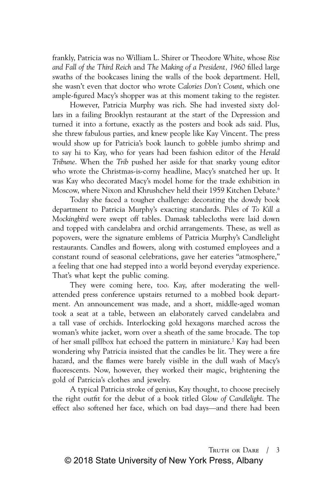frankly, Patricia was no William L. Shirer or Theodore White, whose *Rise and Fall of the Third Reich* and *The Making of a President, 1960* filled large swaths of the bookcases lining the walls of the book department. Hell, she wasn't even that doctor who wrote *Calories Don't Count*, which one ample-figured Macy's shopper was at this moment taking to the register.

However, Patricia Murphy was rich. She had invested sixty dollars in a failing Brooklyn restaurant at the start of the Depression and turned it into a fortune, exactly as the posters and book ads said. Plus, she threw fabulous parties, and knew people like Kay Vincent. The press would show up for Patricia's book launch to gobble jumbo shrimp and to say hi to Kay, who for years had been fashion editor of the *Herald Tribune*. When the *Trib* pushed her aside for that snarky young editor who wrote the Christmas-is-corny headline, Macy's snatched her up. It was Kay who decorated Macy's model home for the trade exhibition in Moscow, where Nixon and Khrushchev held their 1959 Kitchen Debate.<sup>6</sup>

Today she faced a tougher challenge: decorating the dowdy book department to Patricia Murphy's exacting standards. Piles of *To Kill a Mockingbird* were swept off tables. Damask tablecloths were laid down and topped with candelabra and orchid arrangements. These, as well as popovers, were the signature emblems of Patricia Murphy's Candlelight restaurants. Candles and flowers, along with costumed employees and a constant round of seasonal celebrations, gave her eateries "atmosphere," a feeling that one had stepped into a world beyond everyday experience. That's what kept the public coming.

They were coming here, too. Kay, after moderating the wellattended press conference upstairs returned to a mobbed book department. An announcement was made, and a short, middle-aged woman took a seat at a table, between an elaborately carved candelabra and a tall vase of orchids. Interlocking gold hexagons marched across the woman's white jacket, worn over a sheath of the same brocade. The top of her small pillbox hat echoed the pattern in miniature.7 Kay had been wondering why Patricia insisted that the candles be lit. They were a fire hazard, and the flames were barely visible in the dull wash of Macy's fluorescents. Now, however, they worked their magic, brightening the gold of Patricia's clothes and jewelry.

A typical Patricia stroke of genius, Kay thought, to choose precisely the right outfit for the debut of a book titled *Glow of Candlelight*. The effect also softened her face, which on bad days—and there had been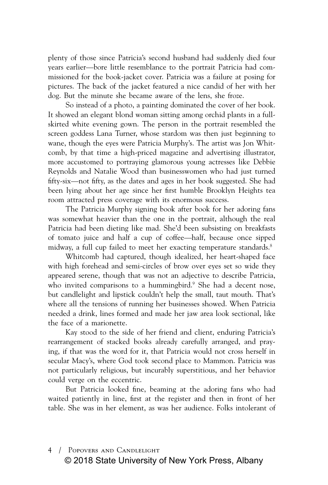plenty of those since Patricia's second husband had suddenly died four years earlier—bore little resemblance to the portrait Patricia had commissioned for the book-jacket cover. Patricia was a failure at posing for pictures. The back of the jacket featured a nice candid of her with her dog. But the minute she became aware of the lens, she froze.

So instead of a photo, a painting dominated the cover of her book. It showed an elegant blond woman sitting among orchid plants in a fullskirted white evening gown. The person in the portrait resembled the screen goddess Lana Turner, whose stardom was then just beginning to wane, though the eyes were Patricia Murphy's. The artist was Jon Whitcomb, by that time a high-priced magazine and advertising illustrator, more accustomed to portraying glamorous young actresses like Debbie Reynolds and Natalie Wood than businesswomen who had just turned fifty-six—not fifty, as the dates and ages in her book suggested. She had been lying about her age since her first humble Brooklyn Heights tea room attracted press coverage with its enormous success.

The Patricia Murphy signing book after book for her adoring fans was somewhat heavier than the one in the portrait, although the real Patricia had been dieting like mad. She'd been subsisting on breakfasts of tomato juice and half a cup of coffee—half, because once sipped midway, a full cup failed to meet her exacting temperature standards.<sup>8</sup>

Whitcomb had captured, though idealized, her heart-shaped face with high forehead and semi-circles of brow over eyes set so wide they appeared serene, though that was not an adjective to describe Patricia, who invited comparisons to a hummingbird.<sup>9</sup> She had a decent nose, but candlelight and lipstick couldn't help the small, taut mouth. That's where all the tensions of running her businesses showed. When Patricia needed a drink, lines formed and made her jaw area look sectional, like the face of a marionette.

Kay stood to the side of her friend and client, enduring Patricia's rearrangement of stacked books already carefully arranged, and praying, if that was the word for it, that Patricia would not cross herself in secular Macy's, where God took second place to Mammon. Patricia was not particularly religious, but incurably superstitious, and her behavior could verge on the eccentric.

But Patricia looked fine, beaming at the adoring fans who had waited patiently in line, first at the register and then in front of her table. She was in her element, as was her audience. Folks intolerant of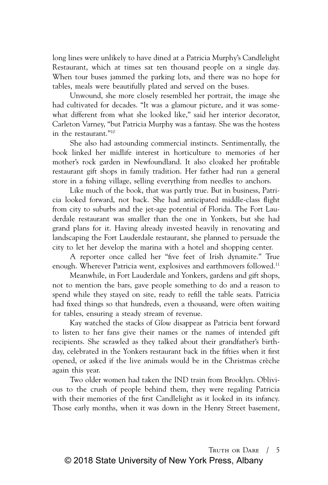long lines were unlikely to have dined at a Patricia Murphy's Candlelight Restaurant, which at times sat ten thousand people on a single day. When tour buses jammed the parking lots, and there was no hope for tables, meals were beautifully plated and served on the buses.

Unwound, she more closely resembled her portrait, the image she had cultivated for decades. "It was a glamour picture, and it was somewhat different from what she looked like," said her interior decorator, Carleton Varney, "but Patricia Murphy was a fantasy. She was the hostess in the restaurant."10

She also had astounding commercial instincts. Sentimentally, the book linked her midlife interest in horticulture to memories of her mother's rock garden in Newfoundland. It also cloaked her profitable restaurant gift shops in family tradition. Her father had run a general store in a fishing village, selling everything from needles to anchors.

Like much of the book, that was partly true. But in business, Patricia looked forward, not back. She had anticipated middle-class flight from city to suburbs and the jet-age potential of Florida. The Fort Lauderdale restaurant was smaller than the one in Yonkers, but she had grand plans for it. Having already invested heavily in renovating and landscaping the Fort Lauderdale restaurant, she planned to persuade the city to let her develop the marina with a hotel and shopping center.

A reporter once called her "five feet of Irish dynamite." True enough. Wherever Patricia went, explosives and earthmovers followed.<sup>11</sup>

Meanwhile, in Fort Lauderdale and Yonkers, gardens and gift shops, not to mention the bars, gave people something to do and a reason to spend while they stayed on site, ready to refill the table seats. Patricia had fixed things so that hundreds, even a thousand, were often waiting for tables, ensuring a steady stream of revenue.

Kay watched the stacks of *Glow* disappear as Patricia bent forward to listen to her fans give their names or the names of intended gift recipients. She scrawled as they talked about their grandfather's birthday, celebrated in the Yonkers restaurant back in the fifties when it first opened, or asked if the live animals would be in the Christmas crèche again this year.

Two older women had taken the IND train from Brooklyn. Oblivious to the crush of people behind them, they were regaling Patricia with their memories of the first Candlelight as it looked in its infancy. Those early months, when it was down in the Henry Street basement,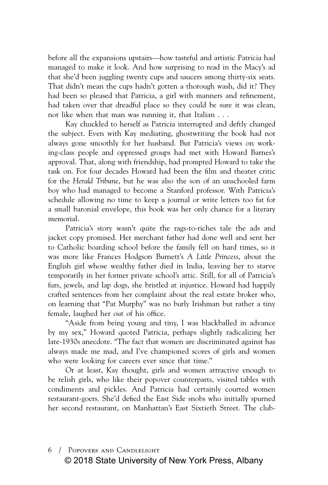before all the expansions upstairs—how tasteful and artistic Patricia had managed to make it look. And how surprising to read in the Macy's ad that she'd been juggling twenty cups and saucers among thirty-six seats. That didn't mean the cups hadn't gotten a thorough wash, did it? They had been so pleased that Patricia, a girl with manners and refinement, had taken over that dreadful place so they could be sure it was clean, not like when that man was running it, that Italian . . .

Kay chuckled to herself as Patricia interrupted and deftly changed the subject. Even with Kay mediating, ghostwriting the book had not always gone smoothly for her husband. But Patricia's views on working-class people and oppressed groups had met with Howard Barnes's approval. That, along with friendship, had prompted Howard to take the task on. For four decades Howard had been the film and theater critic for the *Herald Tribune*, but he was also the son of an unschooled farm boy who had managed to become a Stanford professor. With Patricia's schedule allowing no time to keep a journal or write letters too fat for a small baronial envelope, this book was her only chance for a literary memorial.

Patricia's story wasn't quite the rags-to-riches tale the ads and jacket copy promised. Her merchant father had done well and sent her to Catholic boarding school before the family fell on hard times, so it was more like Frances Hodgson Burnett's *A Little Princess*, about the English girl whose wealthy father died in India, leaving her to starve temporarily in her former private school's attic. Still, for all of Patricia's furs, jewels, and lap dogs, she bristled at injustice. Howard had happily crafted sentences from her complaint about the real estate broker who, on learning that "Pat Murphy" was no burly Irishman but rather a tiny female, laughed her out of his office.

"Aside from being young and tiny, I was blackballed in advance by my sex," Howard quoted Patricia, perhaps slightly radicalizing her late-1930s anecdote. "The fact that women are discriminated against has always made me mad, and I've championed scores of girls and women who were looking for careers ever since that time."

Or at least, Kay thought, girls and women attractive enough to be relish girls, who like their popover counterparts, visited tables with condiments and pickles. And Patricia had certainly courted women restaurant-goers. She'd defied the East Side snobs who initially spurned her second restaurant, on Manhattan's East Sixtieth Street. The club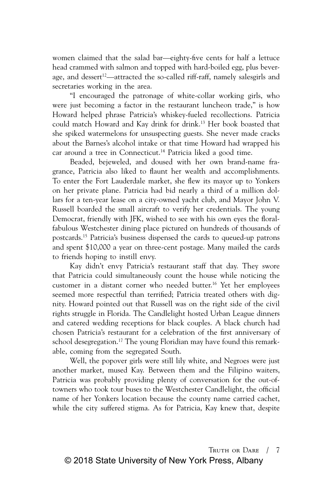women claimed that the salad bar—eighty-five cents for half a lettuce head crammed with salmon and topped with hard-boiled egg, plus beverage, and dessert<sup>12</sup>—attracted the so-called riff-raff, namely salesgirls and secretaries working in the area.

"I encouraged the patronage of white-collar working girls, who were just becoming a factor in the restaurant luncheon trade," is how Howard helped phrase Patricia's whiskey-fueled recollections. Patricia could match Howard and Kay drink for drink.13 Her book boasted that she spiked watermelons for unsuspecting guests. She never made cracks about the Barnes's alcohol intake or that time Howard had wrapped his car around a tree in Connecticut.<sup>14</sup> Patricia liked a good time.

Beaded, bejeweled, and doused with her own brand-name fragrance, Patricia also liked to flaunt her wealth and accomplishments. To enter the Fort Lauderdale market, she flew its mayor up to Yonkers on her private plane. Patricia had bid nearly a third of a million dollars for a ten-year lease on a city-owned yacht club, and Mayor John V. Russell boarded the small aircraft to verify her credentials. The young Democrat, friendly with JFK, wished to see with his own eyes the floralfabulous Westchester dining place pictured on hundreds of thousands of postcards.15 Patricia's business dispensed the cards to queued-up patrons and spent \$10,000 a year on three-cent postage. Many mailed the cards to friends hoping to instill envy.

Kay didn't envy Patricia's restaurant staff that day. They swore that Patricia could simultaneously count the house while noticing the customer in a distant corner who needed butter.16 Yet her employees seemed more respectful than terrified; Patricia treated others with dignity. Howard pointed out that Russell was on the right side of the civil rights struggle in Florida. The Candlelight hosted Urban League dinners and catered wedding receptions for black couples. A black church had chosen Patricia's restaurant for a celebration of the first anniversary of school desegregation.<sup>17</sup> The young Floridian may have found this remarkable, coming from the segregated South.

Well, the popover girls were still lily white, and Negroes were just another market, mused Kay. Between them and the Filipino waiters, Patricia was probably providing plenty of conversation for the out-oftowners who took tour buses to the Westchester Candlelight, the official name of her Yonkers location because the county name carried cachet, while the city suffered stigma. As for Patricia, Kay knew that, despite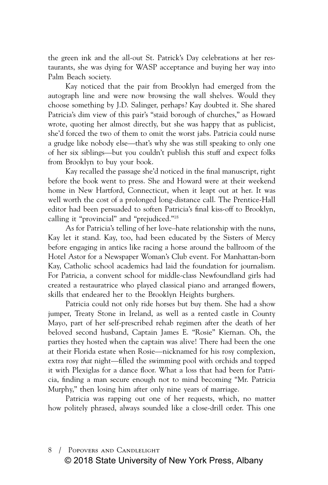the green ink and the all-out St. Patrick's Day celebrations at her restaurants, she was dying for WASP acceptance and buying her way into Palm Beach society.

Kay noticed that the pair from Brooklyn had emerged from the autograph line and were now browsing the wall shelves. Would they choose something by J.D. Salinger, perhaps? Kay doubted it. She shared Patricia's dim view of this pair's "staid borough of churches," as Howard wrote, quoting her almost directly, but she was happy that as publicist, she'd forced the two of them to omit the worst jabs. Patricia could nurse a grudge like nobody else—that's why she was still speaking to only one of her six siblings—but you couldn't publish this stuff and expect folks from Brooklyn to buy your book.

Kay recalled the passage she'd noticed in the final manuscript, right before the book went to press. She and Howard were at their weekend home in New Hartford, Connecticut, when it leapt out at her. It was well worth the cost of a prolonged long-distance call. The Prentice-Hall editor had been persuaded to soften Patricia's final kiss-off to Brooklyn, calling it "provincial" and "prejudiced."18

As for Patricia's telling of her love–hate relationship with the nuns, Kay let it stand. Kay, too, had been educated by the Sisters of Mercy before engaging in antics like racing a horse around the ballroom of the Hotel Astor for a Newspaper Woman's Club event. For Manhattan-born Kay, Catholic school academics had laid the foundation for journalism. For Patricia, a convent school for middle-class Newfoundland girls had created a restauratrice who played classical piano and arranged flowers, skills that endeared her to the Brooklyn Heights burghers.

Patricia could not only ride horses but buy them. She had a show jumper, Treaty Stone in Ireland, as well as a rented castle in County Mayo, part of her self-prescribed rehab regimen after the death of her beloved second husband, Captain James E. "Rosie" Kiernan. Oh, the parties they hosted when the captain was alive! There had been the one at their Florida estate when Rosie—nicknamed for his rosy complexion, extra rosy *that* night—filled the swimming pool with orchids and topped it with Plexiglas for a dance floor. What a loss that had been for Patricia, finding a man secure enough not to mind becoming "Mr. Patricia Murphy," then losing him after only nine years of marriage.

Patricia was rapping out one of her requests, which, no matter how politely phrased, always sounded like a close-drill order. This one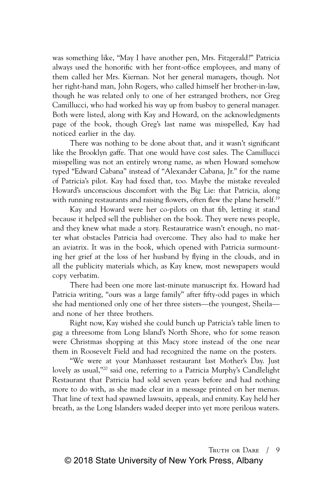was something like, "May I have another pen, Mrs. Fitzgerald?" Patricia always used the honorific with her front-office employees, and many of them called her Mrs. Kiernan. Not her general managers, though. Not her right-hand man, John Rogers, who called himself her brother-in-law, though he was related only to one of her estranged brothers, nor Greg Camillucci, who had worked his way up from busboy to general manager. Both were listed, along with Kay and Howard, on the acknowledgments page of the book, though Greg's last name was misspelled, Kay had noticed earlier in the day.

There was nothing to be done about that, and it wasn't significant like the Brooklyn gaffe. That one would have cost sales. The Camillucci misspelling was not an entirely wrong name, as when Howard somehow typed "Edward Cabana" instead of "Alexander Cabana, Jr." for the name of Patricia's pilot. Kay had fixed that, too. Maybe the mistake revealed Howard's unconscious discomfort with the Big Lie: that Patricia, along with running restaurants and raising flowers, often flew the plane herself.<sup>19</sup>

Kay and Howard were her co-pilots on that fib, letting it stand because it helped sell the publisher on the book. They were news people, and they knew what made a story. Restauratrice wasn't enough, no matter what obstacles Patricia had overcome. They also had to make her an aviatrix. It was in the book, which opened with Patricia surmounting her grief at the loss of her husband by flying in the clouds, and in all the publicity materials which, as Kay knew, most newspapers would copy verbatim.

There had been one more last-minute manuscript fix. Howard had Patricia writing, "ours was a large family" after fifty-odd pages in which she had mentioned only one of her three sisters—the youngest, Sheila and none of her three brothers.

Right now, Kay wished she could bunch up Patricia's table linen to gag a threesome from Long Island's North Shore, who for some reason were Christmas shopping at this Macy store instead of the one near them in Roosevelt Field and had recognized the name on the posters.

"We were at your Manhasset restaurant last Mother's Day. Just lovely as usual,"20 said one, referring to a Patricia Murphy's Candlelight Restaurant that Patricia had sold seven years before and had nothing more to do with, as she made clear in a message printed on her menus. That line of text had spawned lawsuits, appeals, and enmity. Kay held her breath, as the Long Islanders waded deeper into yet more perilous waters.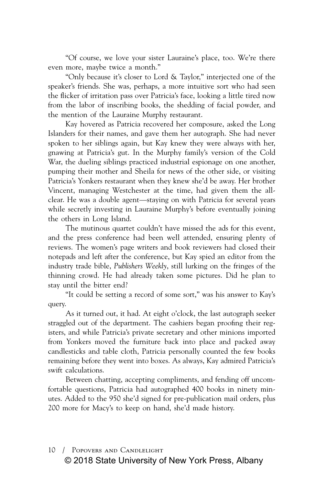"Of course, we love your sister Lauraine's place, too. We're there even more, maybe twice a month."

"Only because it's closer to Lord & Taylor," interjected one of the speaker's friends. She was, perhaps, a more intuitive sort who had seen the flicker of irritation pass over Patricia's face, looking a little tired now from the labor of inscribing books, the shedding of facial powder, and the mention of the Lauraine Murphy restaurant.

Kay hovered as Patricia recovered her composure, asked the Long Islanders for their names, and gave them her autograph. She had never spoken to her siblings again, but Kay knew they were always with her, gnawing at Patricia's gut. In the Murphy family's version of the Cold War, the dueling siblings practiced industrial espionage on one another, pumping their mother and Sheila for news of the other side, or visiting Patricia's Yonkers restaurant when they knew she'd be away. Her brother Vincent, managing Westchester at the time, had given them the allclear. He was a double agent—staying on with Patricia for several years while secretly investing in Lauraine Murphy's before eventually joining the others in Long Island.

The mutinous quartet couldn't have missed the ads for this event, and the press conference had been well attended, ensuring plenty of reviews. The women's page writers and book reviewers had closed their notepads and left after the conference, but Kay spied an editor from the industry trade bible, *Publishers Weekly*, still lurking on the fringes of the thinning crowd. He had already taken some pictures. Did he plan to stay until the bitter end?

"It could be setting a record of some sort," was his answer to Kay's query.

As it turned out, it had. At eight o'clock, the last autograph seeker straggled out of the department. The cashiers began proofing their registers, and while Patricia's private secretary and other minions imported from Yonkers moved the furniture back into place and packed away candlesticks and table cloth, Patricia personally counted the few books remaining before they went into boxes. As always, Kay admired Patricia's swift calculations.

Between chatting, accepting compliments, and fending off uncomfortable questions, Patricia had autographed 400 books in ninety minutes. Added to the 950 she'd signed for pre-publication mail orders, plus 200 more for Macy's to keep on hand, she'd made history.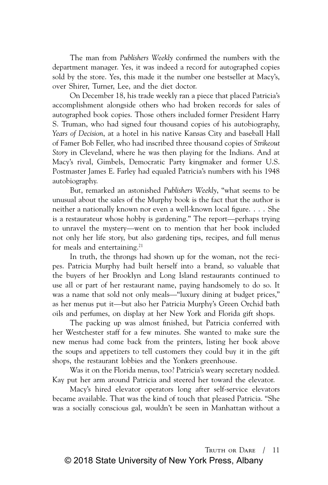The man from *Publishers Weekly* confirmed the numbers with the department manager. Yes, it was indeed a record for autographed copies sold by the store. Yes, this made it the number one bestseller at Macy's, over Shirer, Turner, Lee, and the diet doctor.

On December 18, his trade weekly ran a piece that placed Patricia's accomplishment alongside others who had broken records for sales of autographed book copies. Those others included former President Harry S. Truman, who had signed four thousand copies of his autobiography, *Years of Decision*, at a hotel in his native Kansas City and baseball Hall of Famer Bob Feller, who had inscribed three thousand copies of *Strikeout Story* in Cleveland, where he was then playing for the Indians. And at Macy's rival, Gimbels, Democratic Party kingmaker and former U.S. Postmaster James E. Farley had equaled Patricia's numbers with his 1948 autobiography.

But, remarked an astonished *Publishers Weekly*, "what seems to be unusual about the sales of the Murphy book is the fact that the author is neither a nationally known nor even a well-known local figure. . . . She is a restaurateur whose hobby is gardening." The report—perhaps trying to unravel the mystery—went on to mention that her book included not only her life story, but also gardening tips, recipes, and full menus for meals and entertaining.<sup>21</sup>

In truth, the throngs had shown up for the woman, not the recipes. Patricia Murphy had built herself into a brand, so valuable that the buyers of her Brooklyn and Long Island restaurants continued to use all or part of her restaurant name, paying handsomely to do so. It was a name that sold not only meals—"luxury dining at budget prices," as her menus put it—but also her Patricia Murphy's Green Orchid bath oils and perfumes, on display at her New York and Florida gift shops.

The packing up was almost finished, but Patricia conferred with her Westchester staff for a few minutes. She wanted to make sure the new menus had come back from the printers, listing her book above the soups and appetizers to tell customers they could buy it in the gift shops, the restaurant lobbies and the Yonkers greenhouse.

Was it on the Florida menus, too? Patricia's weary secretary nodded. Kay put her arm around Patricia and steered her toward the elevator.

Macy's hired elevator operators long after self-service elevators became available. That was the kind of touch that pleased Patricia. "She was a socially conscious gal, wouldn't be seen in Manhattan without a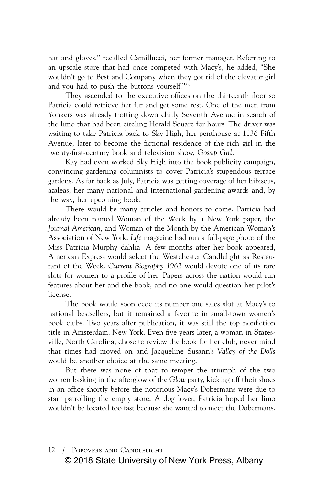hat and gloves," recalled Camillucci, her former manager. Referring to an upscale store that had once competed with Macy's, he added, "She wouldn't go to Best and Company when they got rid of the elevator girl and you had to push the buttons yourself."22

They ascended to the executive offices on the thirteenth floor so Patricia could retrieve her fur and get some rest. One of the men from Yonkers was already trotting down chilly Seventh Avenue in search of the limo that had been circling Herald Square for hours. The driver was waiting to take Patricia back to Sky High, her penthouse at 1136 Fifth Avenue, later to become the fictional residence of the rich girl in the twenty-first-century book and television show, *Gossip Girl.*

Kay had even worked Sky High into the book publicity campaign, convincing gardening columnists to cover Patricia's stupendous terrace gardens. As far back as July, Patricia was getting coverage of her hibiscus, azaleas, her many national and international gardening awards and, by the way, her upcoming book.

There would be many articles and honors to come. Patricia had already been named Woman of the Week by a New York paper, the *Journal-American*, and Woman of the Month by the American Woman's Association of New York. *Life* magazine had run a full-page photo of the Miss Patricia Murphy dahlia. A few months after her book appeared, American Express would select the Westchester Candlelight as Restaurant of the Week. *Current Biography 1962* would devote one of its rare slots for women to a profile of her. Papers across the nation would run features about her and the book, and no one would question her pilot's license.

The book would soon cede its number one sales slot at Macy's to national bestsellers, but it remained a favorite in small-town women's book clubs. Two years after publication, it was still the top nonfiction title in Amsterdam, New York. Even five years later, a woman in Statesville, North Carolina, chose to review the book for her club, never mind that times had moved on and Jacqueline Susann's *Valley of the Dolls* would be another choice at the same meeting.

But there was none of that to temper the triumph of the two women basking in the afterglow of the *Glow* party, kicking off their shoes in an office shortly before the notorious Macy's Dobermans were due to start patrolling the empty store. A dog lover, Patricia hoped her limo wouldn't be located too fast because she wanted to meet the Dobermans.